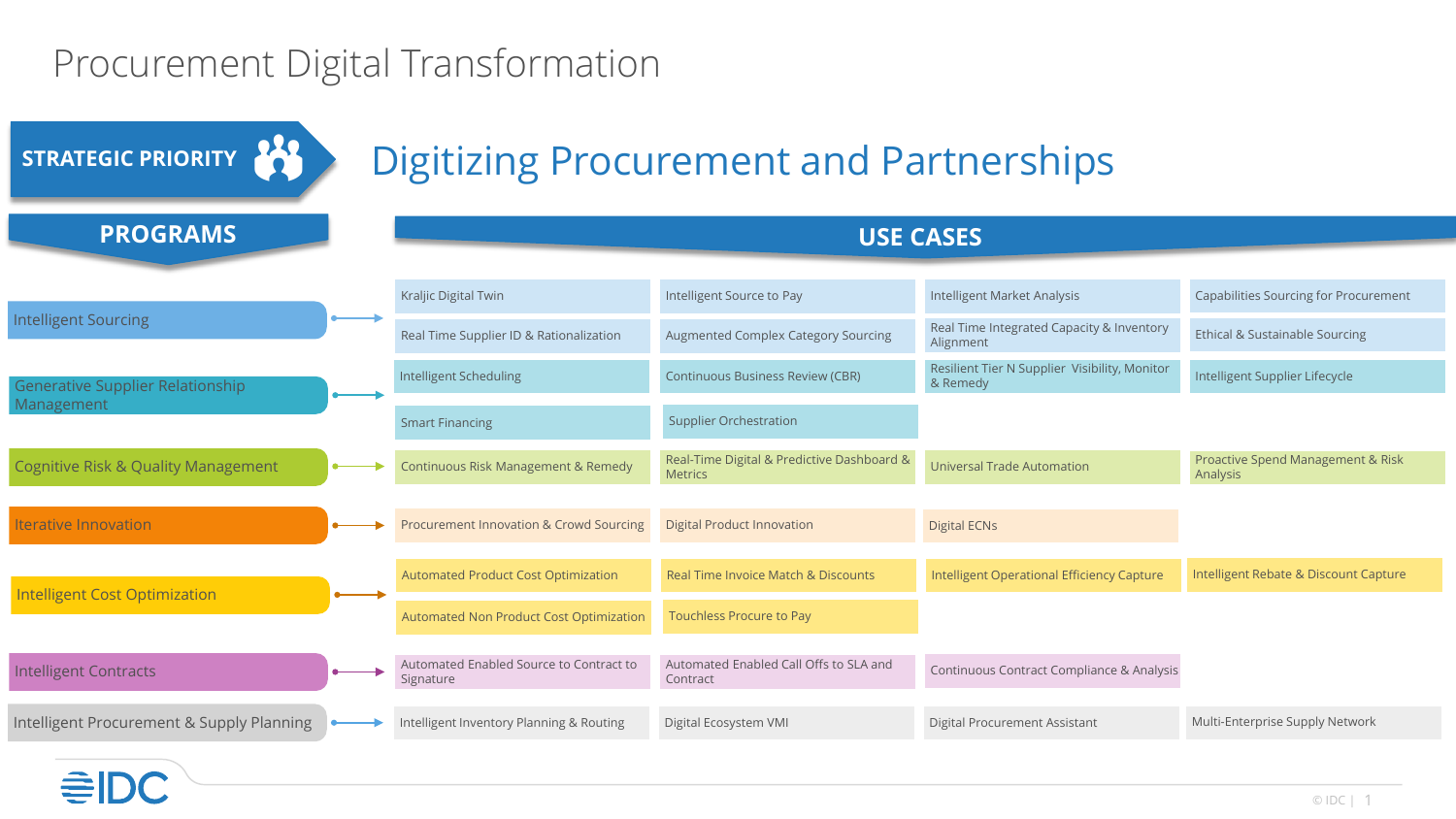## Procurement Digital Transformation

<u> =</u>

| STRATEGIC PRIORITY                                    | <b>Digitizing Procurement and Partnerships</b>       |                                                              |                                                           |                                               |
|-------------------------------------------------------|------------------------------------------------------|--------------------------------------------------------------|-----------------------------------------------------------|-----------------------------------------------|
| <b>PROGRAMS</b>                                       | <b>USE CASES</b>                                     |                                                              |                                                           |                                               |
| <b>Intelligent Sourcing</b>                           | Kraljic Digital Twin                                 | Intelligent Source to Pay                                    | Intelligent Market Analysis                               | <b>Capabilities Sourcing for Procurement</b>  |
|                                                       | Real Time Supplier ID & Rationalization              | Augmented Complex Category Sourcing                          | Real Time Integrated Capacity & Inventory<br>Alignment    | Ethical & Sustainable Sourcing                |
| <b>Generative Supplier Relationship</b><br>Management | Intelligent Scheduling                               | <b>Continuous Business Review (CBR)</b>                      | Resilient Tier N Supplier Visibility, Monitor<br>& Remedy | Intelligent Supplier Lifecycle                |
|                                                       | <b>Smart Financing</b>                               | <b>Supplier Orchestration</b>                                |                                                           |                                               |
| <b>Cognitive Risk &amp; Quality Management</b>        | Continuous Risk Management & Remedy                  | Real-Time Digital & Predictive Dashboard &<br><b>Metrics</b> | <b>Universal Trade Automation</b>                         | Proactive Spend Management & Risk<br>Analysis |
| <b>Iterative Innovation</b>                           | Procurement Innovation & Crowd Sourcing              | <b>Digital Product Innovation</b>                            | <b>Digital ECNs</b>                                       |                                               |
| <b>Intelligent Cost Optimization</b>                  | <b>Automated Product Cost Optimization</b>           | Real Time Invoice Match & Discounts                          | Intelligent Operational Efficiency Capture                | Intelligent Rebate & Discount Capture         |
|                                                       | <b>Automated Non Product Cost Optimization</b>       | <b>Touchless Procure to Pay</b>                              |                                                           |                                               |
| <b>Intelligent Contracts</b>                          | Automated Enabled Source to Contract to<br>Signature | Automated Enabled Call Offs to SLA and<br>Contract           | Continuous Contract Compliance & Analysis                 |                                               |
| Intelligent Procurement & Supply Planning             | Intelligent Inventory Planning & Routing             | Digital Ecosystem VMI                                        | Digital Procurement Assistant                             | Multi-Enterprise Supply Network               |